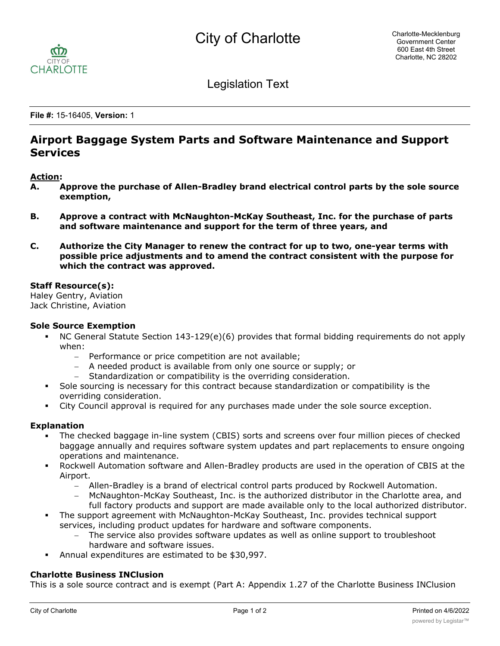

Legislation Text

**File #:** 15-16405, **Version:** 1

# **Airport Baggage System Parts and Software Maintenance and Support Services**

## **Action:**

- **A. Approve the purchase of Allen-Bradley brand electrical control parts by the sole source exemption,**
- **B. Approve a contract with McNaughton-McKay Southeast, Inc. for the purchase of parts and software maintenance and support for the term of three years, and**
- **C. Authorize the City Manager to renew the contract for up to two, one-year terms with possible price adjustments and to amend the contract consistent with the purpose for which the contract was approved.**

#### **Staff Resource(s):**

Haley Gentry, Aviation Jack Christine, Aviation

#### **Sole Source Exemption**

- § NC General Statute Section 143-129(e)(6) provides that formal bidding requirements do not apply when:
	- Performance or price competition are not available;
	- A needed product is available from only one source or supply; or
	- Standardization or compatibility is the overriding consideration.
- § Sole sourcing is necessary for this contract because standardization or compatibility is the overriding consideration.
- City Council approval is required for any purchases made under the sole source exception.

## **Explanation**

- § The checked baggage in-line system (CBIS) sorts and screens over four million pieces of checked baggage annually and requires software system updates and part replacements to ensure ongoing operations and maintenance.
- § Rockwell Automation software and Allen-Bradley products are used in the operation of CBIS at the Airport.
	- Allen-Bradley is a brand of electrical control parts produced by Rockwell Automation.
	- McNaughton-McKay Southeast, Inc. is the authorized distributor in the Charlotte area, and full factory products and support are made available only to the local authorized distributor.
- The support agreement with McNaughton-McKay Southeast, Inc. provides technical support services, including product updates for hardware and software components.
	- The service also provides software updates as well as online support to troubleshoot hardware and software issues.
- § Annual expenditures are estimated to be \$30,997.

## **Charlotte Business INClusion**

This is a sole source contract and is exempt (Part A: Appendix 1.27 of the Charlotte Business INClusion